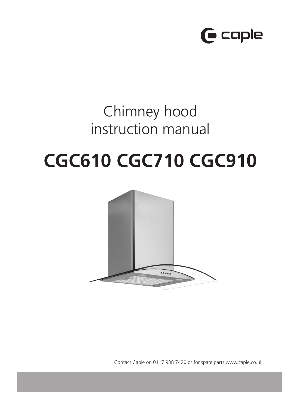

# Chimney hood instruction manual

# **CGC610 CGC710 CGC910**



Contact Caple on 0117 938 7420 or for spare parts www.caple.co.uk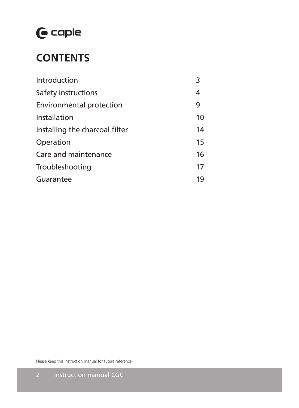# $\mathbf \Theta$  caple

## **CONTENTS**

| Introduction                    | 3  |
|---------------------------------|----|
| Safety instructions             | 4  |
| <b>Environmental protection</b> | 9  |
| Installation                    | 10 |
| Installing the charcoal filter  | 14 |
| Operation                       | 15 |
| Care and maintenance            |    |
| Troubleshooting                 | 17 |
| Guarantee                       |    |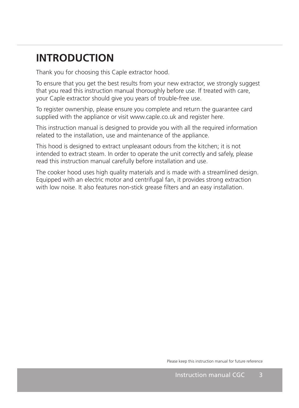# **INTRODUCTION**

Thank you for choosing this Caple extractor hood.

To ensure that you get the best results from your new extractor, we strongly suggest that you read this instruction manual thoroughly before use. If treated with care, your Caple extractor should give you years of trouble-free use.

To register ownership, please ensure you complete and return the guarantee card supplied with the appliance or visit www.caple.co.uk and register here.

This instruction manual is designed to provide you with all the required information related to the installation, use and maintenance of the appliance.

This hood is designed to extract unpleasant odours from the kitchen; it is not intended to extract steam. In order to operate the unit correctly and safely, please read this instruction manual carefully before installation and use.

The cooker hood uses high quality materials and is made with a streamlined design. Equipped with an electric motor and centrifugal fan, it provides strong extraction with low noise. It also features non-stick grease filters and an easy installation.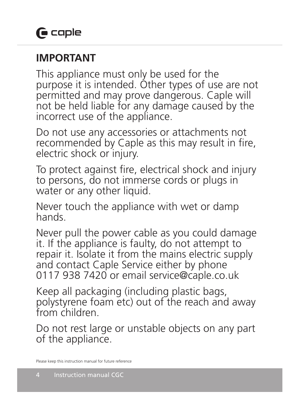## **IMPORTANT**

This appliance must only be used for the purpose it is intended. Other types of use are not permitted and may prove dangerous. Caple will not be held liable for any damage caused by the incorrect use of the appliance.

Do not use any accessories or attachments not recommended by Caple as this may result in fire, electric shock or injury.

To protect against fire, electrical shock and injury to persons, do not immerse cords or plugs in water or any other liquid.

Never touch the appliance with wet or damp hands.

Never pull the power cable as you could damage it. If the appliance is faulty, do not attempt to repair it. Isolate it from the mains electric supply and contact Caple Service either by phone 0117 938 7420 or email service@caple.co.uk

Keep all packaging (including plastic bags, polystyrene foam etc) out of the reach and away from children.

Do not rest large or unstable objects on any part of the appliance.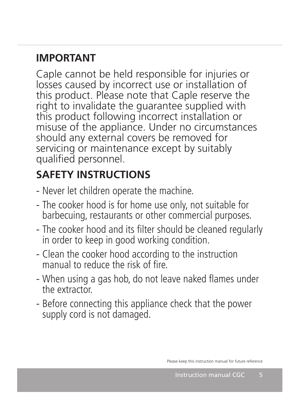# **IMPORTANT**

Caple cannot be held responsible for injuries or losses caused by incorrect use or installation of this product. Please note that Caple reserve the right to invalidate the guarantee supplied with this product following incorrect installation or misuse of the appliance. Under no circumstances should any external covers be removed for servicing or maintenance except by suitably qualified personnel.

# **SAFETY INSTRUCTIONS**

- Never let children operate the machine.
- The cooker hood is for home use only, not suitable for barbecuing, restaurants or other commercial purposes.
- The cooker hood and its filter should be cleaned regularly in order to keep in good working condition.
- Clean the cooker hood according to the instruction manual to reduce the risk of fire.
- When using a gas hob, do not leave naked flames under the extractor.
- Before connecting this appliance check that the power supply cord is not damaged.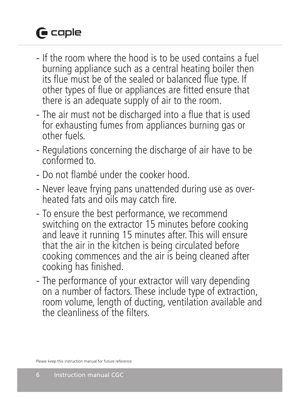# **G** caple

- If the room where the hood is to be used contains a fuel burning appliance such as a central heating boiler then its flue must be of the sealed or balanced flue type. If other types of flue or appliances are fitted ensure that there is an adequate supply of air to the room.
- The air must not be discharged into a flue that is used for exhausting fumes from appliances burning gas or other fuels.
- Regulations concerning the discharge of air have to be conformed to.
- Do not flambé under the cooker hood.
- Never leave frying pans unattended during use as overheated fats and oils may catch fire.
- To ensure the best performance, we recommend switching on the extractor 15 minutes before cooking and leave it running 15 minutes after. This will ensure that the air in the kitchen is being circulated before cooking commences and the air is being cleaned after cooking has finished.
- The performance of your extractor will vary depending on a number of factors. These include type of extraction, room volume, length of ducting, ventilation available and the cleanliness of the filters.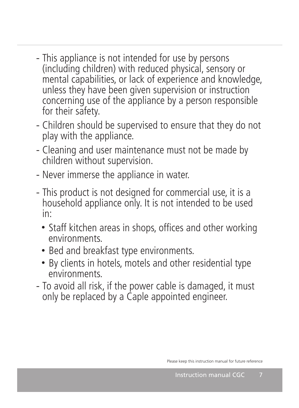- This appliance is not intended for use by persons (including children) with reduced physical, sensory or mental capabilities, or lack of experience and knowledge, unless they have been given supervision or instruction concerning use of the appliance by a person responsible for their safety.
- Children should be supervised to ensure that they do not play with the appliance.
- Cleaning and user maintenance must not be made by children without supervision.
- Never immerse the appliance in water.
- This product is not designed for commercial use, it is a household appliance only. It is not intended to be used in:
	- Staff kitchen areas in shops, offices and other working environments.
	- Bed and breakfast type environments.
	- By clients in hotels, motels and other residential type environments.
- To avoid all risk, if the power cable is damaged, it must only be replaced by a Caple appointed engineer.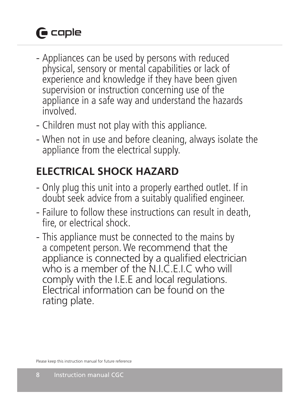# **G** caple

- Appliances can be used by persons with reduced physical, sensory or mental capabilities or lack of experience and knowledge if they have been given supervision or instruction concerning use of the appliance in a safe way and understand the hazards involved.
- Children must not play with this appliance.
- When not in use and before cleaning, always isolate the appliance from the electrical supply.

# **ELECTRICAL SHOCK HAZARD**

- Only plug this unit into a properly earthed outlet. If in doubt seek advice from a suitably qualified engineer.
- Failure to follow these instructions can result in death, fire, or electrical shock.
- This appliance must be connected to the mains by a competent person. We recommend that the appliance is connected by a qualified electrician who is a member of the N.I.C.E.I.C who will comply with the I.E.E and local regulations. Electrical information can be found on the rating plate.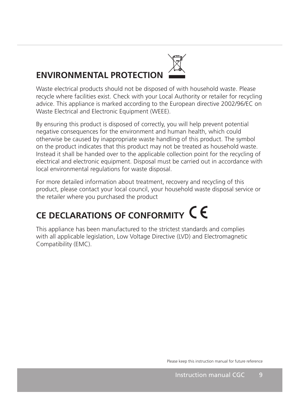# **ENVIRONMENTAL PROTECTION**

Waste electrical products should not be disposed of with household waste. Please recycle where facilities exist. Check with your Local Authority or retailer for recycling advice. This appliance is marked according to the European directive 2002/96/EC on Waste Electrical and Electronic Equipment (WEEE).

By ensuring this product is disposed of correctly, you will help prevent potential negative consequences for the environment and human health, which could otherwise be caused by inappropriate waste handling of this product. The symbol on the product indicates that this product may not be treated as household waste. Instead it shall be handed over to the applicable collection point for the recycling of electrical and electronic equipment. Disposal must be carried out in accordance with local environmental regulations for waste disposal.

For more detailed information about treatment, recovery and recycling of this product, please contact your local council, your household waste disposal service or the retailer where you purchased the product

# **CE DECLARATIONS OF CONFORMITY**

This appliance has been manufactured to the strictest standards and complies with all applicable legislation, Low Voltage Directive (LVD) and Electromagnetic Compatibility (EMC).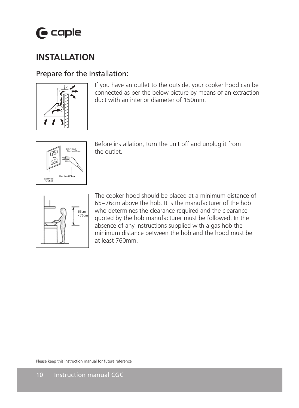#### **INSTALLATION**  $\mathbf{L}$   $\mathbf{L}$ **INSINEERITON**  $\mathcal{L} = \mathcal{L}$

#### Prepare for the installation:



If you have an outlet to the outside, your cooker hood can be connected as per the below picture by means of an extraction duct with an interior diameter of 150mm.



Before installation, turn the unit off and unplug it from the outlet.



The cooker hood should be placed at a minimum distance of 65~76cm above the hob. It is the manufacturer of the hob  $\Box$   $\Box$   $\Box$   $\Box$   $\Box$   $\Box$   $\Box$  who determines the clearance required and the clearance  $\left| \int_{0}^{\frac{3\pi}{2}} \int_{0}^{\frac{3\pi}{26\pi}}$  quoted by the hob manufacturer must be followed. In the absence of any instructions supplied with a gas hob the minimum distance between the hob and the hood must be at least 760mm.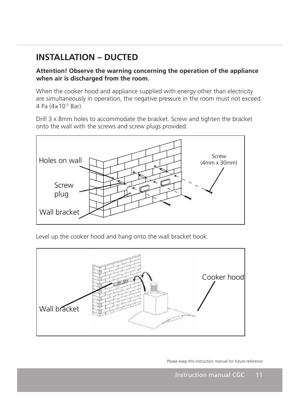#### **INSTALLATION – DUCTED**  $\frac{1}{2}$

 

#### **Attention! Observe the warning concerning the operation of the appliance when air is discharged from the room.**

When the cooker hood and appliance supplied with energy other than electricity are simultaneously in operation, the negative pressure in the room must not exceed 4 Pa  $(4 \times 10^{-5}$  Bar)

Drill 3 x 8mm holes to accommodate the bracket. Screw and tighten the bracket onto the wall with the screws and screw plugs provided.



Level up the cooker hood and hang onto the wall bracket hook.

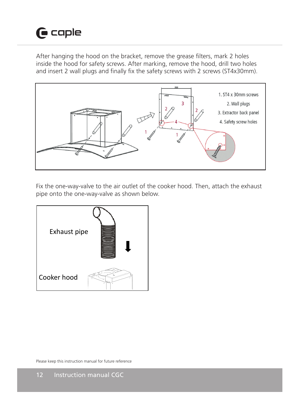# $\mathbf \Theta$  caple

After hanging the hood on the bracket, remove the grease filters, mark 2 holes inside the hood for safety screws. After marking, remove the hood, drill two holes and insert 2 wall plugs and finally fix the safety screws with 2 screws (ST4x30mm).



Fix the one-way-valve to the air outlet of the cooker hood. Then, attach the exhaust pipe onto the one-way-valve as shown below.

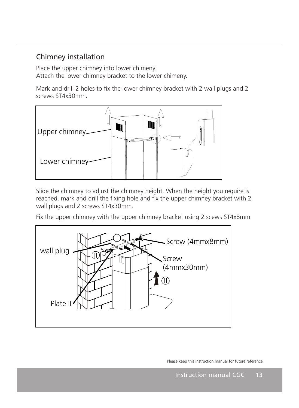#### Chimney installation

Place the upper chimney into lower chimeny. Attach the lower chimney bracket to the lower chimeny.

Mark and drill 2 holes to fix the lower chimney bracket with 2 wall plugs and 2 screws ST4x30mm. Mark and drill 2 holes to ha the lower chilliney bracket with 2 wall plugs.<br>CCCNUC CT4v20mm



Slide the chimney to adjust the chimney height. When the height you require is reached, mark and drill the fixing hole and fix the upper chimney bracket with 2 wall plugs and 2 screws ST4x30mm.

Fix the upper chimney with the upper chimney bracket using 2 scews ST4x8mm



 $\overline{a}$ 

ī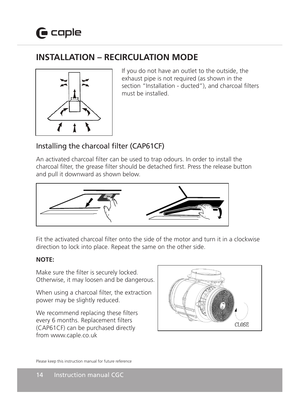## **INSTALLATION - RECIRCULATION MODE**



If you do not have an outlet to the outside, the exhaust pipe is not required (as shown in the section "Installation - ducted"), and charcoal filters must be installed.

## Installing the charcoal filter (CAP61CF)

An activated charcoal filter can be used to trap odours. In order to install the charcoal filter, the grease filter should be detached first. Press the release button and pull it downward as shown below.



Fit the activated charcoal filter onto the side of the motor and turn it in a clockwise Fit the activated charcoal lifter onto the side of the motor and turn it in a cic<br>direction to lock into place. Repeat the same on the other side. direction to lock into place. Repeat the same on the other side.

#### **NOTE:**

Make sure the filter is securely locked. Otherwise, it may loosen and be dangerous.

When using a charcoal filter, the extraction power may be slightly reduced.

We recommend replacing these filters every 6 months. Replacement filters (CAP61CF) can be purchased directly from www.caple.co.uk  $\overline{\phantom{a}}$ 

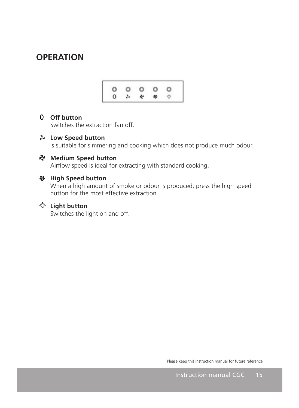### **OPERATION**



## **O** Off button

Switches the extraction fan off. **OTT button**<br>Switches the extract SWILCHES THE EXTRACTION Ran Off.

#### **Low Speed button** Low Speed button LOW Speed Dutton Low Sp

Is suitable for simmering and cooking which does not produce much odour. Low Speed button<br>Is suitable for simmering and cooking which does not produce much odour 

## **Medium Speed button**

Airflow speed is ideal for extracting with standard cooking.

#### **High Speed button** High Speed button **High Speed button**

When a high amount of smoke or odour is produced, press the high speed button for the most effective extraction. When a high amount of smoke or odour is produced, press the high speed<br>butter feath amount of smoke or odour is produced, press the high speed button for the most effective extraction.

## **Light button**

ł

Switches the light on and off. bindings are ngine on and one **Light button**<br>Switches the light on and off. Switches the light on and off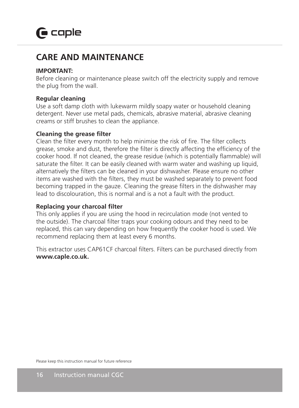## **CARE AND MAINTENANCE**

#### **IMPORTANT:**

Before cleaning or maintenance please switch off the electricity supply and remove the plug from the wall.

#### **Regular cleaning**

Use a soft damp cloth with lukewarm mildly soapy water or household cleaning detergent. Never use metal pads, chemicals, abrasive material, abrasive cleaning creams or stiff brushes to clean the appliance.

#### **Cleaning the grease filter**

Clean the filter every month to help minimise the risk of fire. The filter collects grease, smoke and dust, therefore the filter is directly affecting the efficiency of the cooker hood. If not cleaned, the grease residue (which is potentially flammable) will saturate the filter. It can be easily cleaned with warm water and washing up liquid, alternatively the filters can be cleaned in your dishwasher. Please ensure no other items are washed with the filters, they must be washed separately to prevent food becoming trapped in the gauze. Cleaning the grease filters in the dishwasher may lead to discolouration, this is normal and is a not a fault with the product.

#### **Replacing your charcoal filter**

This only applies if you are using the hood in recirculation mode (not vented to the outside). The charcoal filter traps your cooking odours and they need to be replaced, this can vary depending on how frequently the cooker hood is used. We recommend replacing them at least every 6 months.

This extractor uses CAP61CF charcoal filters. Filters can be purchased directly from **www.caple.co.uk.**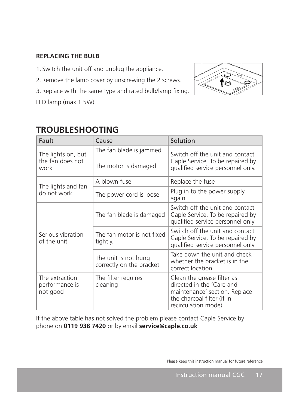#### **REPLACING THE BULB**

- 1. Switch the unit off and unplug the appliance.
- 2. Remove the lamp cover by unscrewing the 2 screws.
- 3. Replace with the same type and rated bulb/lamp fixing.

LED lamp (max.1.5W).



## **TROUBLESHOOTING**

| Fault                                          | Cause                                            | Solution                                                                                                                                      |
|------------------------------------------------|--------------------------------------------------|-----------------------------------------------------------------------------------------------------------------------------------------------|
| The lights on, but<br>the fan does not<br>work | The fan blade is jammed                          | Switch off the unit and contact<br>Caple Service. To be repaired by<br>qualified service personnel only.                                      |
|                                                | The motor is damaged                             |                                                                                                                                               |
| The lights and fan<br>do not work              | A blown fuse                                     | Replace the fuse                                                                                                                              |
|                                                | The power cord is loose                          | Plug in to the power supply<br>again                                                                                                          |
| Serious vibration<br>of the unit               | The fan blade is damaged                         | Switch off the unit and contact<br>Caple Service. To be repaired by<br>qualified service personnel only                                       |
|                                                | The fan motor is not fixed<br>tightly.           | Switch off the unit and contact<br>Caple Service. To be repaired by<br>qualified service personnel only                                       |
|                                                | The unit is not hung<br>correctly on the bracket | Take down the unit and check<br>whether the bracket is in the<br>correct location.                                                            |
| The extraction<br>performance is<br>not good   | The filter requires<br>cleaning                  | Clean the grease filter as<br>directed in the 'Care and<br>maintenance' section. Replace<br>the charcoal filter (if in<br>recirculation mode) |

 $\label{eq:2.1} \mathcal{L}(\mathcal{L}^{\mathcal{L}}_{\mathcal{L}}(\mathcal{L}^{\mathcal{L}}_{\mathcal{L}})) \leq \mathcal{L}(\mathcal{L}^{\mathcal{L}}_{\mathcal{L}}(\mathcal{L}^{\mathcal{L}}_{\mathcal{L}})) \leq \mathcal{L}(\mathcal{L}^{\mathcal{L}}_{\mathcal{L}}(\mathcal{L}^{\mathcal{L}}_{\mathcal{L}}))$ 

If the above table has not solved the problem please contact Caple Service by phone on **0119 938 7420** or by email **service@caple.co.uk**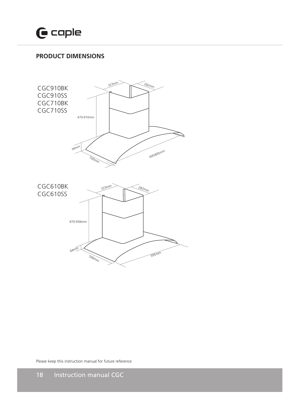

#### **PRODUCT DIMENSIONS**

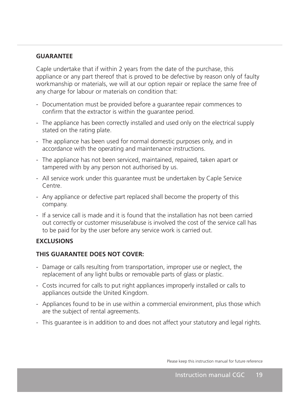#### **GUARANTEE**

Caple undertake that if within 2 years from the date of the purchase, this appliance or any part thereof that is proved to be defective by reason only of faulty workmanship or materials, we will at our option repair or replace the same free of any charge for labour or materials on condition that:

- Documentation must be provided before a guarantee repair commences to confirm that the extractor is within the guarantee period.
- The appliance has been correctly installed and used only on the electrical supply stated on the rating plate.
- The appliance has been used for normal domestic purposes only, and in accordance with the operating and maintenance instructions.
- The appliance has not been serviced, maintained, repaired, taken apart or tampered with by any person not authorised by us.
- All service work under this guarantee must be undertaken by Caple Service Centre.
- Any appliance or defective part replaced shall become the property of this company.
- If a service call is made and it is found that the installation has not been carried out correctly or customer misuse/abuse is involved the cost of the service call has to be paid for by the user before any service work is carried out.

#### **EXCLUSIONS**

#### **THIS GUARANTEE DOES NOT COVER:**

- Damage or calls resulting from transportation, improper use or neglect, the replacement of any light bulbs or removable parts of glass or plastic.
- Costs incurred for calls to put right appliances improperly installed or calls to appliances outside the United Kingdom.
- Appliances found to be in use within a commercial environment, plus those which are the subject of rental agreements.
- This guarantee is in addition to and does not affect your statutory and legal rights.